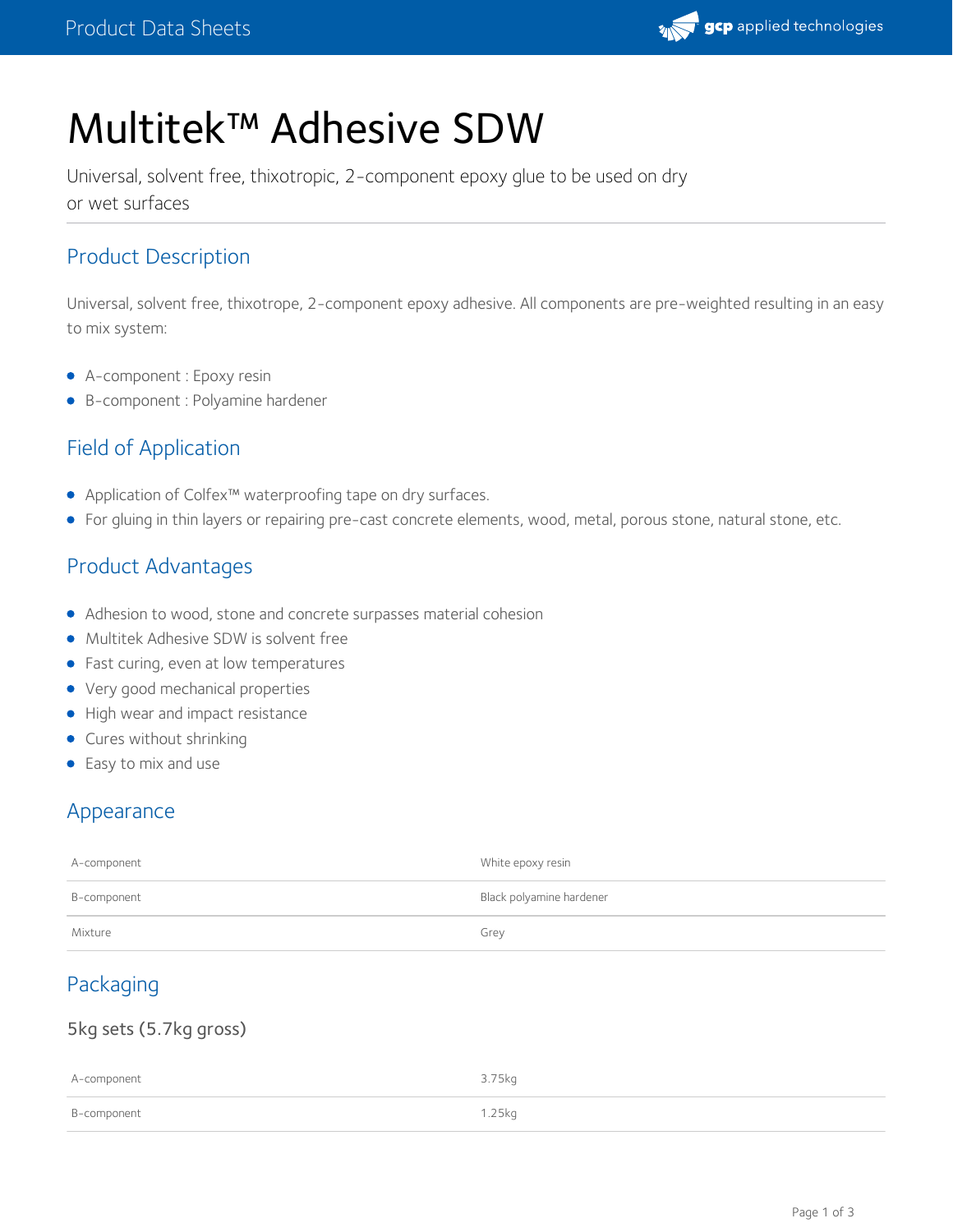

# Multitek™ Adhesive SDW

Universal, solvent free, thixotropic, 2-component epoxy glue to be used on dry or wet surfaces

# Product Description

Universal, solvent free, thixotrope, 2-component epoxy adhesive. All components are pre-weighted resulting in an easy to mix system:

- A-component : Epoxy resin
- B-component : Polyamine hardener

# Field of Application

- Application of Colfex™ waterproofing tape on dry surfaces.
- For gluing in thin layers or repairing pre-cast concrete elements, wood, metal, porous stone, natural stone, etc.

## Product Advantages

- Adhesion to wood, stone and concrete surpasses material cohesion
- Multitek Adhesive SDW is solvent free
- Fast curing, even at low temperatures
- Very good mechanical properties
- High wear and impact resistance
- Cures without shrinking
- Easy to mix and use

## Appearance

| A-component | White epoxy resin        |
|-------------|--------------------------|
| B-component | Black polyamine hardener |
| Mixture     | Grey                     |

# Packaging

#### 5kg sets (5.7kg gross)

| A-component | 3.75kg |
|-------------|--------|
| B-component | 1.25kg |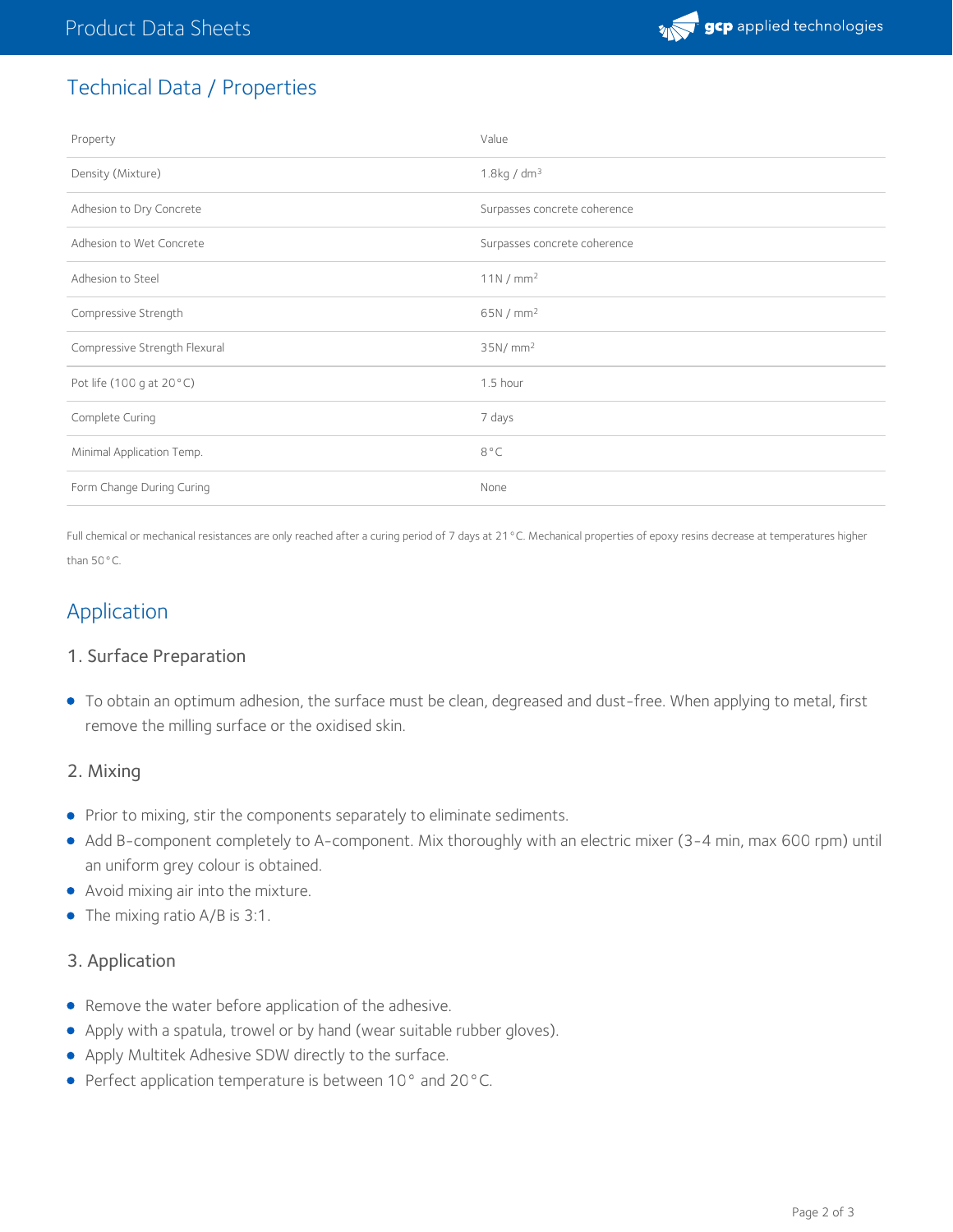

# Technical Data / Properties

| Property                      | Value                        |
|-------------------------------|------------------------------|
| Density (Mixture)             | $1.8$ kg / dm <sup>3</sup>   |
| Adhesion to Dry Concrete      | Surpasses concrete coherence |
| Adhesion to Wet Concrete      | Surpasses concrete coherence |
| Adhesion to Steel             | 11N/mm <sup>2</sup>          |
| Compressive Strength          | 65N/mm <sup>2</sup>          |
| Compressive Strength Flexural | 35N/mm <sup>2</sup>          |
| Pot life (100 g at 20°C)      | 1.5 hour                     |
| Complete Curing               | 7 days                       |
| Minimal Application Temp.     | $8^{\circ}$ C                |
| Form Change During Curing     | None                         |

Full chemical or mechanical resistances are only reached after a curing period of 7 days at 21°C. Mechanical properties of epoxy resins decrease at temperatures higher than 50°C.

## Application

#### 1. Surface Preparation

To obtain an optimum adhesion, the surface must be clean, degreased and dust-free. When applying to metal, first remove the milling surface or the oxidised skin.

#### 2. Mixing

- **•** Prior to mixing, stir the components separately to eliminate sediments.
- Add B-component completely to A-component. Mix thoroughly with an electric mixer (3-4 min, max 600 rpm) until an uniform grey colour is obtained.
- Avoid mixing air into the mixture.
- The mixing ratio A/B is 3:1.

#### 3. Application

- Remove the water before application of the adhesive.
- Apply with a spatula, trowel or by hand (wear suitable rubber gloves).
- Apply Multitek Adhesive SDW directly to the surface.
- Perfect application temperature is between 10° and 20°C.